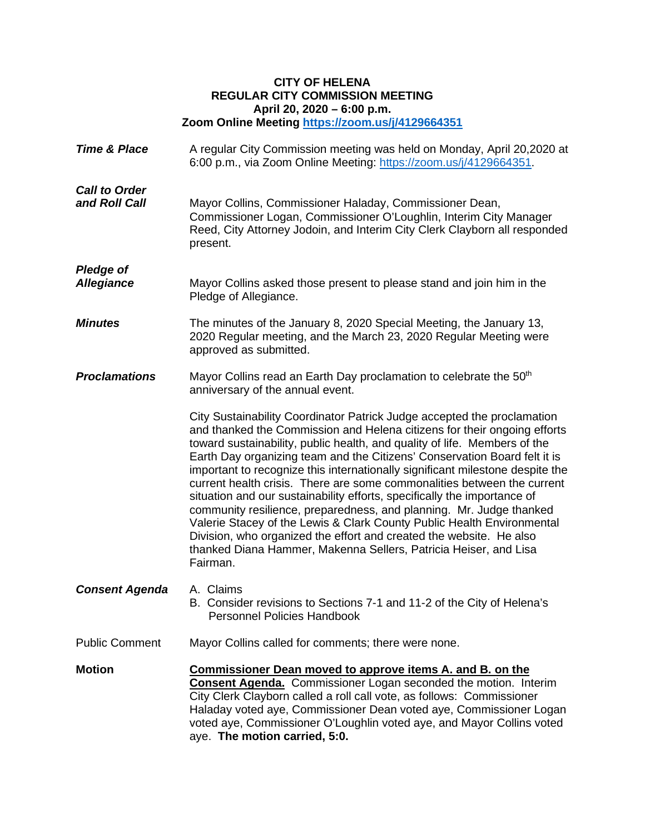## **CITY OF HELENA REGULAR CITY COMMISSION MEETING April 20, 2020 – 6:00 p.m. Zoom Online Meeting<https://zoom.us/j/4129664351>**

**Time & Place** A regular City Commission meeting was held on Monday, April 20,2020 at 6:00 p.m., via Zoom Online Meeting:<https://zoom.us/j/4129664351>. *Call to Order* **and Roll Call** Mayor Collins, Commissioner Haladay, Commissioner Dean, Commissioner Logan, Commissioner O'Loughlin, Interim City Manager Reed, City Attorney Jodoin, and Interim City Clerk Clayborn all responded present. *Pledge of Allegiance* Mayor Collins asked those present to please stand and join him in the Pledge of Allegiance. *Minutes* The minutes of the January 8, 2020 Special Meeting, the January 13, 2020 Regular meeting, and the March 23, 2020 Regular Meeting were approved as submitted. **Proclamations** Mayor Collins read an Earth Day proclamation to celebrate the 50<sup>th</sup> anniversary of the annual event. City Sustainability Coordinator Patrick Judge accepted the proclamation and thanked the Commission and Helena citizens for their ongoing efforts toward sustainability, public health, and quality of life. Members of the Earth Day organizing team and the Citizens' Conservation Board felt it is important to recognize this internationally significant milestone despite the current health crisis. There are some commonalities between the current situation and our sustainability efforts, specifically the importance of community resilience, preparedness, and planning. Mr. Judge thanked Valerie Stacey of the Lewis & Clark County Public Health Environmental Division, who organized the effort and created the website. He also thanked Diana Hammer, Makenna Sellers, Patricia Heiser, and Lisa Fairman. *Consent Agenda* A. Claims B. Consider revisions to Sections 7-1 and 11-2 of the City of Helena's Personnel Policies Handbook Public Comment Mayor Collins called for comments; there were none. **Motion Commissioner Dean moved to approve items A. and B. on the Consent Agenda.** Commissioner Logan seconded the motion. Interim City Clerk Clayborn called a roll call vote, as follows: Commissioner Haladay voted aye, Commissioner Dean voted aye, Commissioner Logan voted aye, Commissioner O'Loughlin voted aye, and Mayor Collins voted

aye. **The motion carried, 5:0.**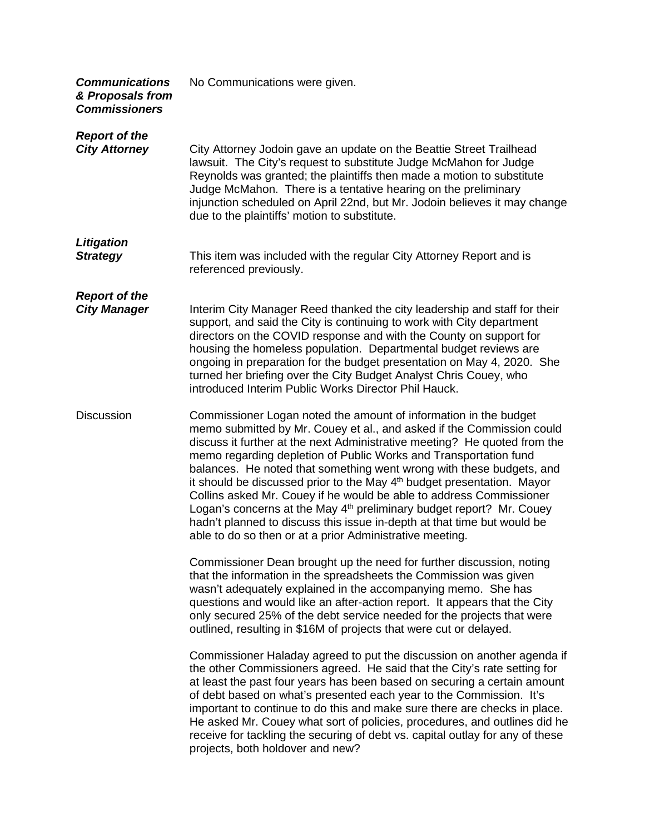| <b>Communications</b><br>& Proposals from<br><b>Commissioners</b> | No Communications were given.                                                                                                                                                                                                                                                                                                                                                                                                                                                                                                                                                                                                                                                                                                                              |
|-------------------------------------------------------------------|------------------------------------------------------------------------------------------------------------------------------------------------------------------------------------------------------------------------------------------------------------------------------------------------------------------------------------------------------------------------------------------------------------------------------------------------------------------------------------------------------------------------------------------------------------------------------------------------------------------------------------------------------------------------------------------------------------------------------------------------------------|
| <b>Report of the</b><br><b>City Attorney</b>                      | City Attorney Jodoin gave an update on the Beattie Street Trailhead<br>lawsuit. The City's request to substitute Judge McMahon for Judge<br>Reynolds was granted; the plaintiffs then made a motion to substitute<br>Judge McMahon. There is a tentative hearing on the preliminary<br>injunction scheduled on April 22nd, but Mr. Jodoin believes it may change<br>due to the plaintiffs' motion to substitute.                                                                                                                                                                                                                                                                                                                                           |
| <b>Litigation</b><br><b>Strategy</b>                              | This item was included with the regular City Attorney Report and is<br>referenced previously.                                                                                                                                                                                                                                                                                                                                                                                                                                                                                                                                                                                                                                                              |
| <b>Report of the</b><br><b>City Manager</b>                       | Interim City Manager Reed thanked the city leadership and staff for their<br>support, and said the City is continuing to work with City department<br>directors on the COVID response and with the County on support for<br>housing the homeless population. Departmental budget reviews are<br>ongoing in preparation for the budget presentation on May 4, 2020. She<br>turned her briefing over the City Budget Analyst Chris Couey, who<br>introduced Interim Public Works Director Phil Hauck.                                                                                                                                                                                                                                                        |
| <b>Discussion</b>                                                 | Commissioner Logan noted the amount of information in the budget<br>memo submitted by Mr. Couey et al., and asked if the Commission could<br>discuss it further at the next Administrative meeting? He quoted from the<br>memo regarding depletion of Public Works and Transportation fund<br>balances. He noted that something went wrong with these budgets, and<br>it should be discussed prior to the May 4 <sup>th</sup> budget presentation. Mayor<br>Collins asked Mr. Couey if he would be able to address Commissioner<br>Logan's concerns at the May 4 <sup>th</sup> preliminary budget report? Mr. Couey<br>hadn't planned to discuss this issue in-depth at that time but would be<br>able to do so then or at a prior Administrative meeting. |
|                                                                   | Commissioner Dean brought up the need for further discussion, noting<br>that the information in the spreadsheets the Commission was given<br>wasn't adequately explained in the accompanying memo. She has<br>questions and would like an after-action report. It appears that the City<br>only secured 25% of the debt service needed for the projects that were<br>outlined, resulting in \$16M of projects that were cut or delayed.                                                                                                                                                                                                                                                                                                                    |
|                                                                   | Commissioner Haladay agreed to put the discussion on another agenda if<br>the other Commissioners agreed. He said that the City's rate setting for<br>at least the past four years has been based on securing a certain amount<br>of debt based on what's presented each year to the Commission. It's<br>important to continue to do this and make sure there are checks in place.<br>He asked Mr. Couey what sort of policies, procedures, and outlines did he<br>receive for tackling the securing of debt vs. capital outlay for any of these<br>projects, both holdover and new?                                                                                                                                                                       |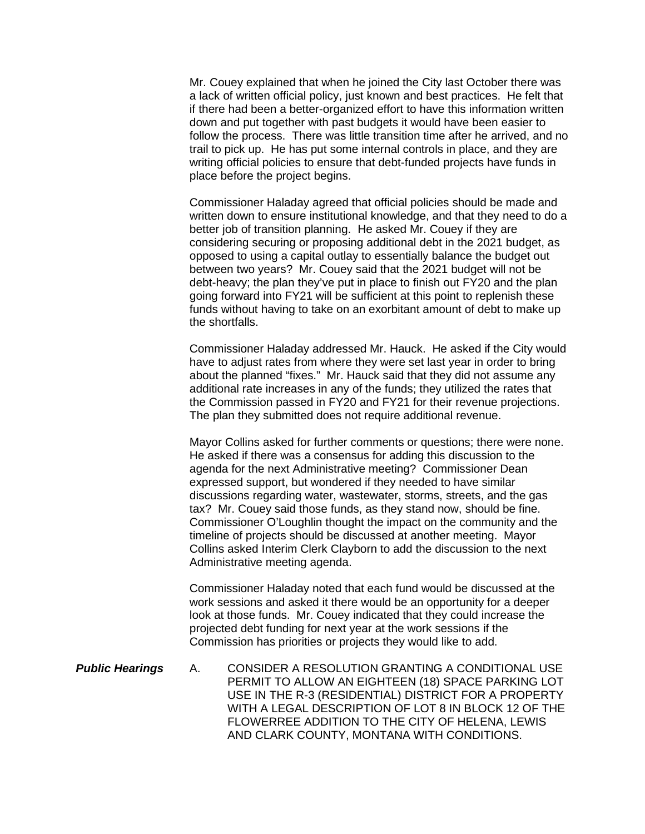Mr. Couey explained that when he joined the City last October there was a lack of written official policy, just known and best practices. He felt that if there had been a better-organized effort to have this information written down and put together with past budgets it would have been easier to follow the process. There was little transition time after he arrived, and no trail to pick up. He has put some internal controls in place, and they are writing official policies to ensure that debt-funded projects have funds in place before the project begins.

Commissioner Haladay agreed that official policies should be made and written down to ensure institutional knowledge, and that they need to do a better job of transition planning. He asked Mr. Couey if they are considering securing or proposing additional debt in the 2021 budget, as opposed to using a capital outlay to essentially balance the budget out between two years? Mr. Couey said that the 2021 budget will not be debt-heavy; the plan they've put in place to finish out FY20 and the plan going forward into FY21 will be sufficient at this point to replenish these funds without having to take on an exorbitant amount of debt to make up the shortfalls.

Commissioner Haladay addressed Mr. Hauck. He asked if the City would have to adjust rates from where they were set last year in order to bring about the planned "fixes." Mr. Hauck said that they did not assume any additional rate increases in any of the funds; they utilized the rates that the Commission passed in FY20 and FY21 for their revenue projections. The plan they submitted does not require additional revenue.

Mayor Collins asked for further comments or questions; there were none. He asked if there was a consensus for adding this discussion to the agenda for the next Administrative meeting? Commissioner Dean expressed support, but wondered if they needed to have similar discussions regarding water, wastewater, storms, streets, and the gas tax? Mr. Couey said those funds, as they stand now, should be fine. Commissioner O'Loughlin thought the impact on the community and the timeline of projects should be discussed at another meeting. Mayor Collins asked Interim Clerk Clayborn to add the discussion to the next Administrative meeting agenda.

Commissioner Haladay noted that each fund would be discussed at the work sessions and asked it there would be an opportunity for a deeper look at those funds. Mr. Couey indicated that they could increase the projected debt funding for next year at the work sessions if the Commission has priorities or projects they would like to add.

*Public Hearings* A. [CONSIDER A RESOLUTION GRANTING A CONDITIONAL USE](https://helena.novusagenda.com/agendapublic/CoverSheet.aspx?ItemID=4579&MeetingID=299)  [PERMIT TO ALLOW AN EIGHTEEN \(18\) SPACE PARKING LOT](https://helena.novusagenda.com/agendapublic/CoverSheet.aspx?ItemID=4579&MeetingID=299)  [USE IN THE R-3 \(RESIDENTIAL\) DISTRICT FOR A PROPERTY](https://helena.novusagenda.com/agendapublic/CoverSheet.aspx?ItemID=4579&MeetingID=299)  [WITH A LEGAL DESCRIPTION OF LOT 8 IN BLOCK 12 OF THE](https://helena.novusagenda.com/agendapublic/CoverSheet.aspx?ItemID=4579&MeetingID=299)  [FLOWERREE ADDITION TO THE CITY OF HELENA, LEWIS](https://helena.novusagenda.com/agendapublic/CoverSheet.aspx?ItemID=4579&MeetingID=299)  [AND CLARK COUNTY, MONTANA WITH CONDITIONS.](https://helena.novusagenda.com/agendapublic/CoverSheet.aspx?ItemID=4579&MeetingID=299)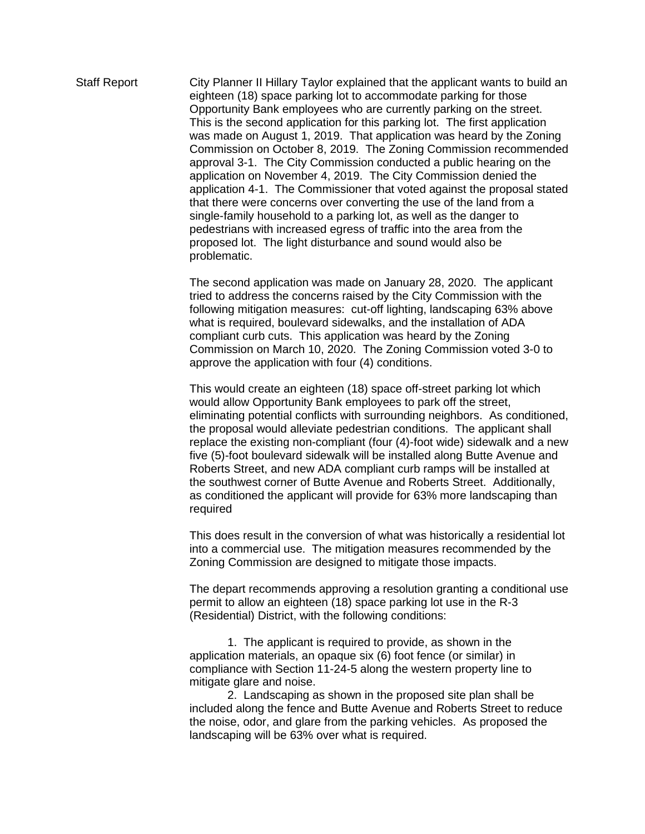Staff Report City Planner II Hillary Taylor explained that the applicant wants to build an eighteen (18) space parking lot to accommodate parking for those Opportunity Bank employees who are currently parking on the street. This is the second application for this parking lot. The first application was made on August 1, 2019. That application was heard by the Zoning Commission on October 8, 2019. The Zoning Commission recommended approval 3-1. The City Commission conducted a public hearing on the application on November 4, 2019. The City Commission denied the application 4-1. The Commissioner that voted against the proposal stated that there were concerns over converting the use of the land from a single-family household to a parking lot, as well as the danger to pedestrians with increased egress of traffic into the area from the proposed lot. The light disturbance and sound would also be problematic.

> The second application was made on January 28, 2020. The applicant tried to address the concerns raised by the City Commission with the following mitigation measures: cut-off lighting, landscaping 63% above what is required, boulevard sidewalks, and the installation of ADA compliant curb cuts. This application was heard by the Zoning Commission on March 10, 2020. The Zoning Commission voted 3-0 to approve the application with four (4) conditions.

This would create an eighteen (18) space off-street parking lot which would allow Opportunity Bank employees to park off the street, eliminating potential conflicts with surrounding neighbors. As conditioned, the proposal would alleviate pedestrian conditions. The applicant shall replace the existing non-compliant (four (4)-foot wide) sidewalk and a new five (5)-foot boulevard sidewalk will be installed along Butte Avenue and Roberts Street, and new ADA compliant curb ramps will be installed at the southwest corner of Butte Avenue and Roberts Street. Additionally, as conditioned the applicant will provide for 63% more landscaping than required

This does result in the conversion of what was historically a residential lot into a commercial use. The mitigation measures recommended by the Zoning Commission are designed to mitigate those impacts.

The depart recommends approving a resolution granting a conditional use permit to allow an eighteen (18) space parking lot use in the R-3 (Residential) District, with the following conditions:

1. The applicant is required to provide, as shown in the application materials, an opaque six (6) foot fence (or similar) in compliance with Section 11-24-5 along the western property line to mitigate glare and noise.

2. Landscaping as shown in the proposed site plan shall be included along the fence and Butte Avenue and Roberts Street to reduce the noise, odor, and glare from the parking vehicles. As proposed the landscaping will be 63% over what is required.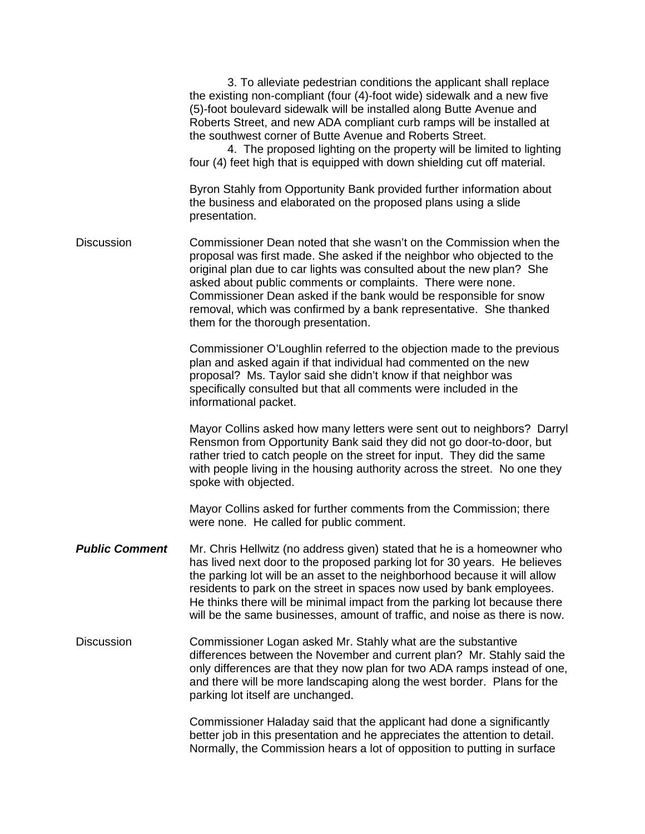|                       | 3. To alleviate pedestrian conditions the applicant shall replace<br>the existing non-compliant (four (4)-foot wide) sidewalk and a new five<br>(5)-foot boulevard sidewalk will be installed along Butte Avenue and<br>Roberts Street, and new ADA compliant curb ramps will be installed at<br>the southwest corner of Butte Avenue and Roberts Street.<br>4. The proposed lighting on the property will be limited to lighting<br>four (4) feet high that is equipped with down shielding cut off material. |
|-----------------------|----------------------------------------------------------------------------------------------------------------------------------------------------------------------------------------------------------------------------------------------------------------------------------------------------------------------------------------------------------------------------------------------------------------------------------------------------------------------------------------------------------------|
|                       | Byron Stahly from Opportunity Bank provided further information about<br>the business and elaborated on the proposed plans using a slide<br>presentation.                                                                                                                                                                                                                                                                                                                                                      |
| <b>Discussion</b>     | Commissioner Dean noted that she wasn't on the Commission when the<br>proposal was first made. She asked if the neighbor who objected to the<br>original plan due to car lights was consulted about the new plan? She<br>asked about public comments or complaints. There were none.<br>Commissioner Dean asked if the bank would be responsible for snow<br>removal, which was confirmed by a bank representative. She thanked<br>them for the thorough presentation.                                         |
|                       | Commissioner O'Loughlin referred to the objection made to the previous<br>plan and asked again if that individual had commented on the new<br>proposal? Ms. Taylor said she didn't know if that neighbor was<br>specifically consulted but that all comments were included in the<br>informational packet.                                                                                                                                                                                                     |
|                       | Mayor Collins asked how many letters were sent out to neighbors? Darryl<br>Rensmon from Opportunity Bank said they did not go door-to-door, but<br>rather tried to catch people on the street for input. They did the same<br>with people living in the housing authority across the street. No one they<br>spoke with objected.                                                                                                                                                                               |
|                       | Mayor Collins asked for further comments from the Commission; there<br>were none. He called for public comment.                                                                                                                                                                                                                                                                                                                                                                                                |
| <b>Public Comment</b> | Mr. Chris Hellwitz (no address given) stated that he is a homeowner who<br>has lived next door to the proposed parking lot for 30 years. He believes<br>the parking lot will be an asset to the neighborhood because it will allow<br>residents to park on the street in spaces now used by bank employees.<br>He thinks there will be minimal impact from the parking lot because there<br>will be the same businesses, amount of traffic, and noise as there is now.                                         |
| <b>Discussion</b>     | Commissioner Logan asked Mr. Stahly what are the substantive<br>differences between the November and current plan? Mr. Stahly said the<br>only differences are that they now plan for two ADA ramps instead of one,<br>and there will be more landscaping along the west border. Plans for the<br>parking lot itself are unchanged.                                                                                                                                                                            |
|                       | Commissioner Haladay said that the applicant had done a significantly<br>better job in this presentation and he appreciates the attention to detail.<br>Normally, the Commission hears a lot of opposition to putting in surface                                                                                                                                                                                                                                                                               |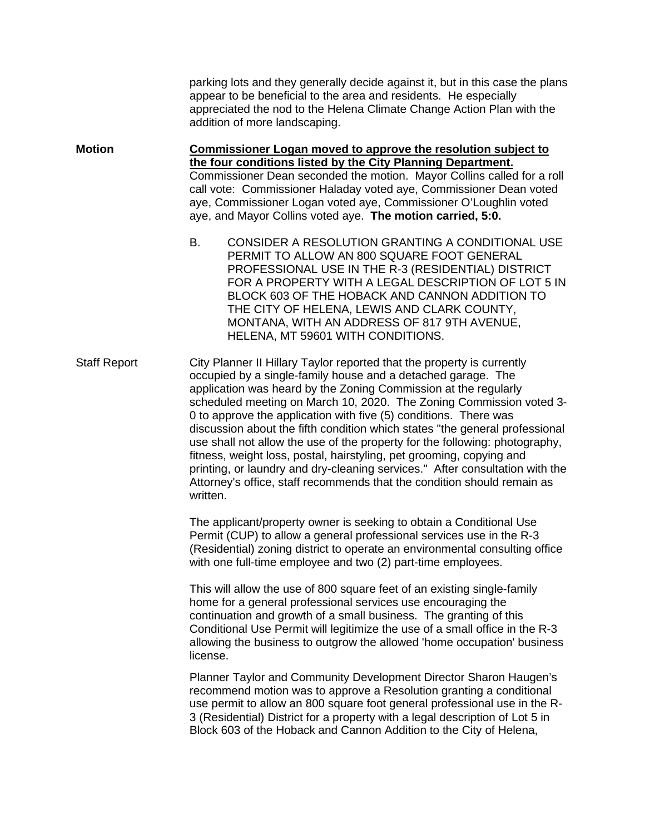parking lots and they generally decide against it, but in this case the plans appear to be beneficial to the area and residents. He especially appreciated the nod to the Helena Climate Change Action Plan with the addition of more landscaping.

**Motion Commissioner Logan moved to approve the resolution subject to the four conditions listed by the City Planning Department.** Commissioner Dean seconded the motion. Mayor Collins called for a roll call vote: Commissioner Haladay voted aye, Commissioner Dean voted aye, Commissioner Logan voted aye, Commissioner O'Loughlin voted aye, and Mayor Collins voted aye. **The motion carried, 5:0.**

> B. CONSIDER A RESOLUTION GRANTING A CONDITIONAL USE PERMIT TO ALLOW AN 800 SQUARE FOOT GENERAL PROFESSIONAL USE IN THE R-3 (RESIDENTIAL) DISTRICT FOR A PROPERTY WITH A LEGAL DESCRIPTION OF LOT 5 IN BLOCK 603 OF THE HOBACK AND CANNON ADDITION TO THE CITY OF HELENA, LEWIS AND CLARK COUNTY, MONTANA, WITH AN ADDRESS OF 817 9TH AVENUE, HELENA, MT 59601 WITH CONDITIONS.

Staff Report City Planner II Hillary Taylor reported that the property is currently occupied by a single-family house and a detached garage. The application was heard by the Zoning Commission at the regularly scheduled meeting on March 10, 2020. The Zoning Commission voted 3- 0 to approve the application with five (5) conditions. There was discussion about the fifth condition which states "the general professional use shall not allow the use of the property for the following: photography, fitness, weight loss, postal, hairstyling, pet grooming, copying and printing, or laundry and dry-cleaning services." After consultation with the Attorney's office, staff recommends that the condition should remain as written.

> The applicant/property owner is seeking to obtain a Conditional Use Permit (CUP) to allow a general professional services use in the R-3 (Residential) zoning district to operate an environmental consulting office with one full-time employee and two (2) part-time employees.

> This will allow the use of 800 square feet of an existing single-family home for a general professional services use encouraging the continuation and growth of a small business. The granting of this Conditional Use Permit will legitimize the use of a small office in the R-3 allowing the business to outgrow the allowed 'home occupation' business license.

> Planner Taylor and Community Development Director Sharon Haugen's recommend motion was to approve a Resolution granting a conditional use permit to allow an 800 square foot general professional use in the R-3 (Residential) District for a property with a legal description of Lot 5 in Block 603 of the Hoback and Cannon Addition to the City of Helena,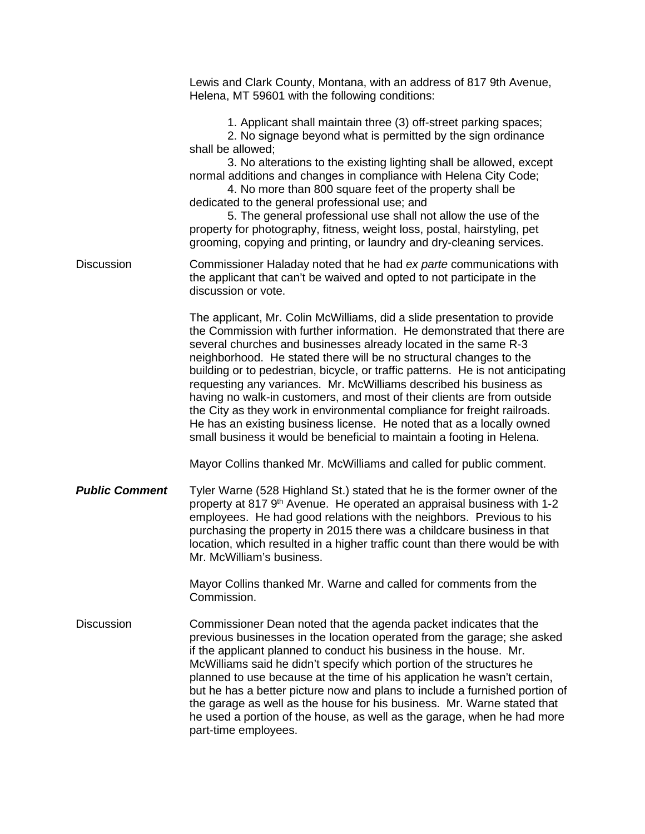|                       | Lewis and Clark County, Montana, with an address of 817 9th Avenue,<br>Helena, MT 59601 with the following conditions:                                                                                                                                                                                                                                                                                                                                                                                                                                                                                                                                                                                                                                          |
|-----------------------|-----------------------------------------------------------------------------------------------------------------------------------------------------------------------------------------------------------------------------------------------------------------------------------------------------------------------------------------------------------------------------------------------------------------------------------------------------------------------------------------------------------------------------------------------------------------------------------------------------------------------------------------------------------------------------------------------------------------------------------------------------------------|
|                       | 1. Applicant shall maintain three (3) off-street parking spaces;<br>2. No signage beyond what is permitted by the sign ordinance<br>shall be allowed;<br>3. No alterations to the existing lighting shall be allowed, except<br>normal additions and changes in compliance with Helena City Code;<br>4. No more than 800 square feet of the property shall be<br>dedicated to the general professional use; and<br>5. The general professional use shall not allow the use of the<br>property for photography, fitness, weight loss, postal, hairstyling, pet<br>grooming, copying and printing, or laundry and dry-cleaning services.                                                                                                                          |
| <b>Discussion</b>     | Commissioner Haladay noted that he had ex parte communications with<br>the applicant that can't be waived and opted to not participate in the<br>discussion or vote.                                                                                                                                                                                                                                                                                                                                                                                                                                                                                                                                                                                            |
|                       | The applicant, Mr. Colin McWilliams, did a slide presentation to provide<br>the Commission with further information. He demonstrated that there are<br>several churches and businesses already located in the same R-3<br>neighborhood. He stated there will be no structural changes to the<br>building or to pedestrian, bicycle, or traffic patterns. He is not anticipating<br>requesting any variances. Mr. McWilliams described his business as<br>having no walk-in customers, and most of their clients are from outside<br>the City as they work in environmental compliance for freight railroads.<br>He has an existing business license. He noted that as a locally owned<br>small business it would be beneficial to maintain a footing in Helena. |
|                       | Mayor Collins thanked Mr. McWilliams and called for public comment.                                                                                                                                                                                                                                                                                                                                                                                                                                                                                                                                                                                                                                                                                             |
| <b>Public Comment</b> | Tyler Warne (528 Highland St.) stated that he is the former owner of the<br>property at 817 9 <sup>th</sup> Avenue. He operated an appraisal business with 1-2<br>employees. He had good relations with the neighbors. Previous to his<br>purchasing the property in 2015 there was a childcare business in that<br>location, which resulted in a higher traffic count than there would be with<br>Mr. McWilliam's business.                                                                                                                                                                                                                                                                                                                                    |
|                       | Mayor Collins thanked Mr. Warne and called for comments from the<br>Commission.                                                                                                                                                                                                                                                                                                                                                                                                                                                                                                                                                                                                                                                                                 |
| <b>Discussion</b>     | Commissioner Dean noted that the agenda packet indicates that the<br>previous businesses in the location operated from the garage; she asked<br>if the applicant planned to conduct his business in the house. Mr.<br>McWilliams said he didn't specify which portion of the structures he<br>planned to use because at the time of his application he wasn't certain,<br>but he has a better picture now and plans to include a furnished portion of<br>the garage as well as the house for his business. Mr. Warne stated that<br>he used a portion of the house, as well as the garage, when he had more<br>part-time employees.                                                                                                                             |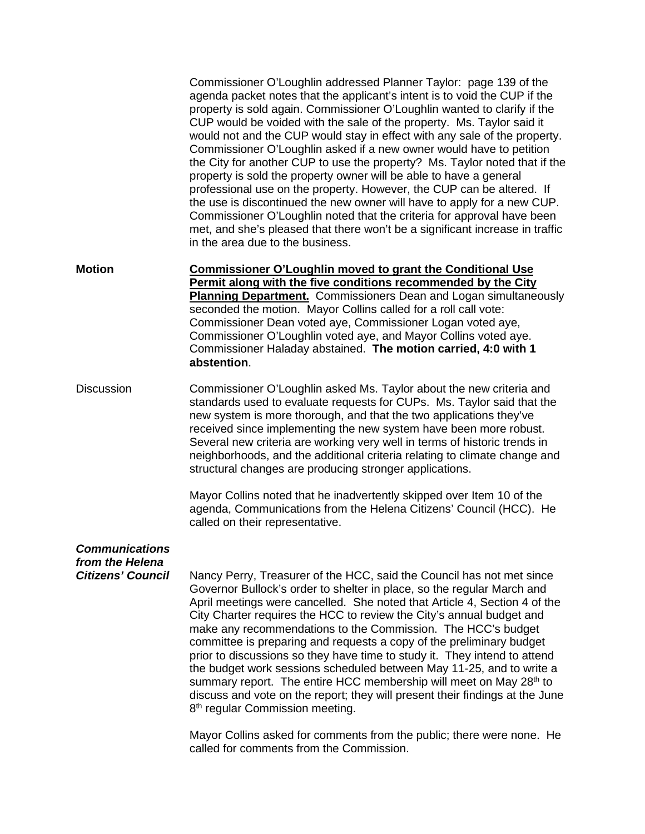Commissioner O'Loughlin addressed Planner Taylor: page 139 of the agenda packet notes that the applicant's intent is to void the CUP if the property is sold again. Commissioner O'Loughlin wanted to clarify if the CUP would be voided with the sale of the property. Ms. Taylor said it would not and the CUP would stay in effect with any sale of the property. Commissioner O'Loughlin asked if a new owner would have to petition the City for another CUP to use the property? Ms. Taylor noted that if the property is sold the property owner will be able to have a general professional use on the property. However, the CUP can be altered. If the use is discontinued the new owner will have to apply for a new CUP. Commissioner O'Loughlin noted that the criteria for approval have been met, and she's pleased that there won't be a significant increase in traffic in the area due to the business.

**Motion Commissioner O'Loughlin moved to grant the Conditional Use Permit along with the five conditions recommended by the City Planning Department.** Commissioners Dean and Logan simultaneously seconded the motion. Mayor Collins called for a roll call vote: Commissioner Dean voted aye, Commissioner Logan voted aye, Commissioner O'Loughlin voted aye, and Mayor Collins voted aye. Commissioner Haladay abstained. **The motion carried, 4:0 with 1 abstention**.

Discussion Commissioner O'Loughlin asked Ms. Taylor about the new criteria and standards used to evaluate requests for CUPs. Ms. Taylor said that the new system is more thorough, and that the two applications they've received since implementing the new system have been more robust. Several new criteria are working very well in terms of historic trends in neighborhoods, and the additional criteria relating to climate change and structural changes are producing stronger applications.

> Mayor Collins noted that he inadvertently skipped over Item 10 of the agenda, Communications from the Helena Citizens' Council (HCC). He called on their representative.

## *Communications from the Helena*

**Citizens' Council** Nancy Perry, Treasurer of the HCC, said the Council has not met since Governor Bullock's order to shelter in place, so the regular March and April meetings were cancelled. She noted that Article 4, Section 4 of the City Charter requires the HCC to review the City's annual budget and make any recommendations to the Commission. The HCC's budget committee is preparing and requests a copy of the preliminary budget prior to discussions so they have time to study it. They intend to attend the budget work sessions scheduled between May 11-25, and to write a summary report. The entire HCC membership will meet on May 28<sup>th</sup> to discuss and vote on the report; they will present their findings at the June 8<sup>th</sup> regular Commission meeting.

> Mayor Collins asked for comments from the public; there were none. He called for comments from the Commission.